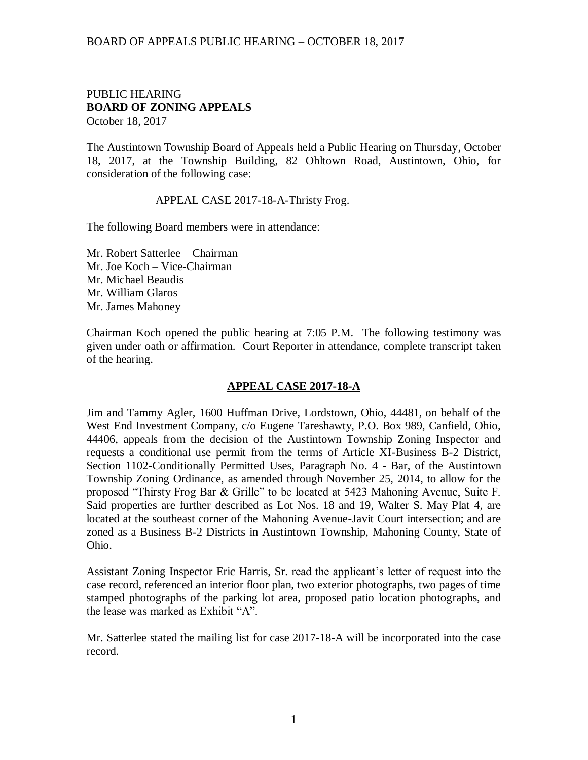### BOARD OF APPEALS PUBLIC HEARING – OCTOBER 18, 2017

### PUBLIC HEARING **BOARD OF ZONING APPEALS**  October 18, 2017

The Austintown Township Board of Appeals held a Public Hearing on Thursday, October 18, 2017, at the Township Building, 82 Ohltown Road, Austintown, Ohio, for consideration of the following case:

### APPEAL CASE 2017-18-A-Thristy Frog.

The following Board members were in attendance:

Mr. Robert Satterlee – Chairman Mr. Joe Koch – Vice-Chairman Mr. Michael Beaudis Mr. William Glaros Mr. James Mahoney

Chairman Koch opened the public hearing at 7:05 P.M. The following testimony was given under oath or affirmation. Court Reporter in attendance, complete transcript taken of the hearing.

# **APPEAL CASE 2017-18-A**

Jim and Tammy Agler, 1600 Huffman Drive, Lordstown, Ohio, 44481, on behalf of the West End Investment Company, c/o Eugene Tareshawty, P.O. Box 989, Canfield, Ohio, 44406, appeals from the decision of the Austintown Township Zoning Inspector and requests a conditional use permit from the terms of Article XI-Business B-2 District, Section 1102-Conditionally Permitted Uses, Paragraph No. 4 - Bar, of the Austintown Township Zoning Ordinance, as amended through November 25, 2014, to allow for the proposed "Thirsty Frog Bar & Grille" to be located at 5423 Mahoning Avenue, Suite F. Said properties are further described as Lot Nos. 18 and 19, Walter S. May Plat 4, are located at the southeast corner of the Mahoning Avenue-Javit Court intersection; and are zoned as a Business B-2 Districts in Austintown Township, Mahoning County, State of Ohio.

Assistant Zoning Inspector Eric Harris, Sr. read the applicant's letter of request into the case record, referenced an interior floor plan, two exterior photographs, two pages of time stamped photographs of the parking lot area, proposed patio location photographs, and the lease was marked as Exhibit "A".

Mr. Satterlee stated the mailing list for case 2017-18-A will be incorporated into the case record.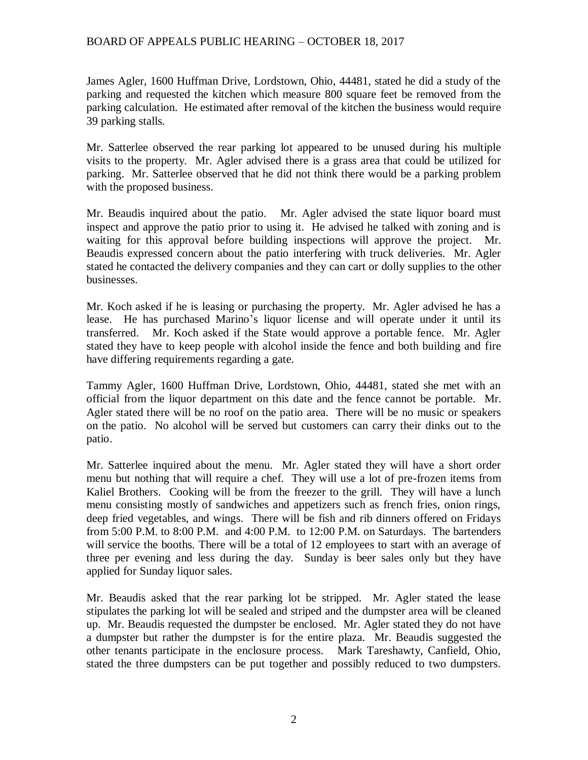# BOARD OF APPEALS PUBLIC HEARING – OCTOBER 18, 2017

James Agler, 1600 Huffman Drive, Lordstown, Ohio, 44481, stated he did a study of the parking and requested the kitchen which measure 800 square feet be removed from the parking calculation. He estimated after removal of the kitchen the business would require 39 parking stalls.

Mr. Satterlee observed the rear parking lot appeared to be unused during his multiple visits to the property. Mr. Agler advised there is a grass area that could be utilized for parking. Mr. Satterlee observed that he did not think there would be a parking problem with the proposed business.

Mr. Beaudis inquired about the patio. Mr. Agler advised the state liquor board must inspect and approve the patio prior to using it. He advised he talked with zoning and is waiting for this approval before building inspections will approve the project. Mr. Beaudis expressed concern about the patio interfering with truck deliveries. Mr. Agler stated he contacted the delivery companies and they can cart or dolly supplies to the other businesses.

Mr. Koch asked if he is leasing or purchasing the property. Mr. Agler advised he has a lease. He has purchased Marino's liquor license and will operate under it until its transferred. Mr. Koch asked if the State would approve a portable fence. Mr. Agler stated they have to keep people with alcohol inside the fence and both building and fire have differing requirements regarding a gate.

Tammy Agler, 1600 Huffman Drive, Lordstown, Ohio, 44481, stated she met with an official from the liquor department on this date and the fence cannot be portable. Mr. Agler stated there will be no roof on the patio area. There will be no music or speakers on the patio. No alcohol will be served but customers can carry their dinks out to the patio.

Mr. Satterlee inquired about the menu. Mr. Agler stated they will have a short order menu but nothing that will require a chef. They will use a lot of pre-frozen items from Kaliel Brothers. Cooking will be from the freezer to the grill. They will have a lunch menu consisting mostly of sandwiches and appetizers such as french fries, onion rings, deep fried vegetables, and wings. There will be fish and rib dinners offered on Fridays from 5:00 P.M. to 8:00 P.M. and 4:00 P.M. to 12:00 P.M. on Saturdays. The bartenders will service the booths. There will be a total of 12 employees to start with an average of three per evening and less during the day. Sunday is beer sales only but they have applied for Sunday liquor sales.

Mr. Beaudis asked that the rear parking lot be stripped. Mr. Agler stated the lease stipulates the parking lot will be sealed and striped and the dumpster area will be cleaned up. Mr. Beaudis requested the dumpster be enclosed. Mr. Agler stated they do not have a dumpster but rather the dumpster is for the entire plaza. Mr. Beaudis suggested the other tenants participate in the enclosure process. Mark Tareshawty, Canfield, Ohio, stated the three dumpsters can be put together and possibly reduced to two dumpsters.